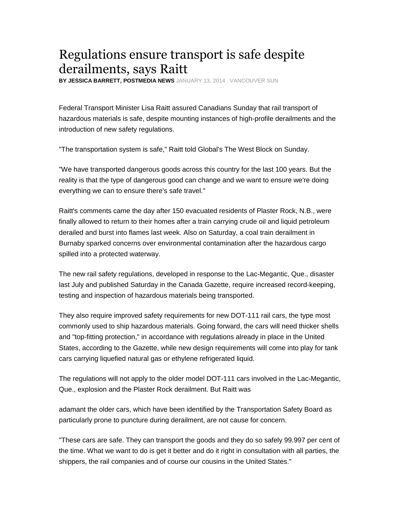## Regulations ensure transport is safe despite derailments, says Raitt

**BY JESSICA BARRETT, POSTMEDIA NEWS**JANUARY 13, 2014 VANCOUVER SUN

Federal Transport Minister Lisa Raitt assured Canadians Sunday that rail transport of hazardous materials is safe, despite mounting instances of high-profile derailments and the introduction of new safety regulations.

"The transportation system is safe," Raitt told Global's The West Block on Sunday.

"We have transported dangerous goods across this country for the last 100 years. But the reality is that the type of dangerous good can change and we want to ensure we're doing everything we can to ensure there's safe travel."

Raitt's comments came the day after 150 evacuated residents of Plaster Rock, N.B., were finally allowed to return to their homes after a train carrying crude oil and liquid petroleum derailed and burst into flames last week. Also on Saturday, a coal train derailment in Burnaby sparked concerns over environmental contamination after the hazardous cargo spilled into a protected waterway.

The new rail safety regulations, developed in response to the Lac-Megantic, Que., disaster last July and published Saturday in the Canada Gazette, require increased record-keeping, testing and inspection of hazardous materials being transported.

They also require improved safety requirements for new DOT-111 rail cars, the type most commonly used to ship hazardous materials. Going forward, the cars will need thicker shells and "top-fitting protection," in accordance with regulations already in place in the United States, according to the Gazette, while new design requirements will come into play for tank cars carrying liquefied natural gas or ethylene refrigerated liquid.

The regulations will not apply to the older model DOT-111 cars involved in the Lac-Megantic, Que., explosion and the Plaster Rock derailment. But Raitt was

adamant the older cars, which have been identified by the Transportation Safety Board as particularly prone to puncture during derailment, are not cause for concern.

"These cars are safe. They can transport the goods and they do so safely 99.997 per cent of the time. What we want to do is get it better and do it right in consultation with all parties, the shippers, the rail companies and of course our cousins in the United States."